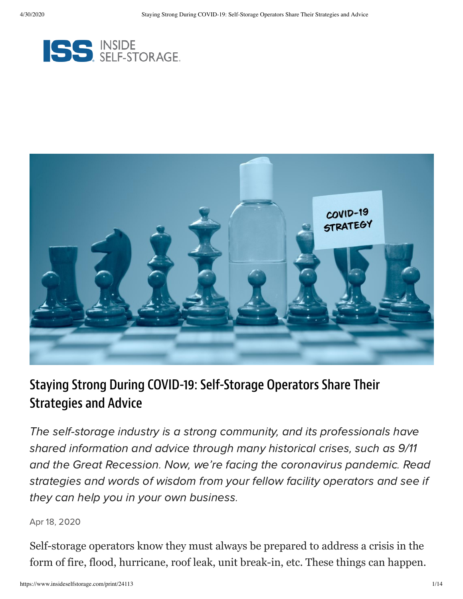



## Staying Strong During COVID-19: Self-Storage Operators Share Their Strategies and Advice

The self-storage industry is a strong community, and its professionals have shared information and advice through many historical crises, such as 9/11 and the Great Recession. Now, we're facing the coronavirus pandemic. Read strategies and words of wisdom from your fellow facility operators and see if they can help you in your own business.

#### Apr 18, 2020

Self-storage operators know they must always be prepared to address a crisis in the form of fire, flood, hurricane, roof leak, unit break-in, etc. These things can happen.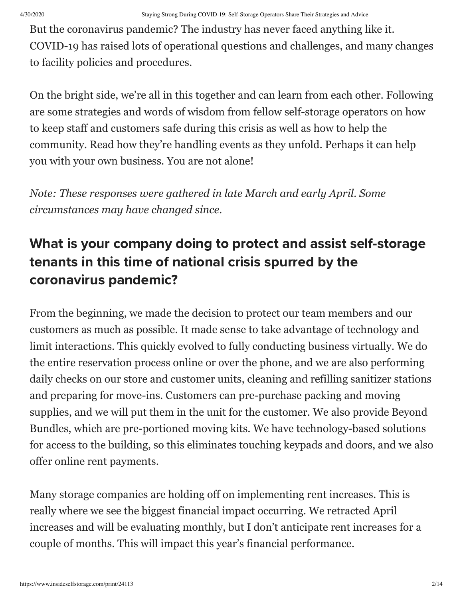But the coronavirus pandemic? The industry has never faced anything like it. COVID-19 has raised lots of operational questions and challenges, and many changes to facility policies and procedures.

On the bright side, we're all in this together and can learn from each other. Following are some strategies and words of wisdom from fellow self-storage operators on how to keep staff and customers safe during this crisis as well as how to help the community. Read how they're handling events as they unfold. Perhaps it can help you with your own business. You are not alone!

*Note: These responses were gathered in late March and early April. Some circumstances may have changed since.*

# What is your company doing to protect and assist self-storage tenants in this time of national crisis spurred by the coronavirus pandemic?

From the beginning, we made the decision to protect our team members and our customers as much as possible. It made sense to take advantage of technology and limit interactions. This quickly evolved to fully conducting business virtually. We do the entire reservation process online or over the phone, and we are also performing daily checks on our store and customer units, cleaning and refilling sanitizer stations and preparing for move-ins. Customers can pre-purchase packing and moving supplies, and we will put them in the unit for the customer. We also provide Beyond Bundles, which are pre-portioned moving kits. We have technology-based solutions for access to the building, so this eliminates touching keypads and doors, and we also offer online rent payments.

Many storage companies are holding off on implementing rent increases. This is really where we see the biggest financial impact occurring. We retracted April increases and will be evaluating monthly, but I don't anticipate rent increases for a couple of months. This will impact this year's financial performance.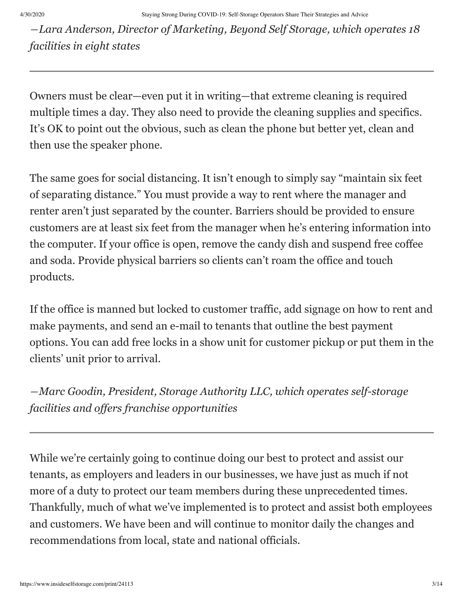*―Lara Anderson, Director of Marketing, Beyond Self Storage, which operates 18 facilities in eight states*

Owners must be clear—even put it in writing—that extreme cleaning is required multiple times a day. They also need to provide the cleaning supplies and specifics. It's OK to point out the obvious, such as clean the phone but better yet, clean and then use the speaker phone.

The same goes for social distancing. It isn't enough to simply say "maintain six feet of separating distance." You must provide a way to rent where the manager and renter aren't just separated by the counter. Barriers should be provided to ensure customers are at least six feet from the manager when he's entering information into the computer. If your office is open, remove the candy dish and suspend free coffee and soda. Provide physical barriers so clients can't roam the office and touch products.

If the office is manned but locked to customer traffic, add signage on how to rent and make payments, and send an e-mail to tenants that outline the best payment options. You can add free locks in a show unit for customer pickup or put them in the clients' unit prior to arrival.

*―Marc Goodin, President, Storage Authority LLC, which operates self-storage facilities and offers franchise opportunities*

While we're certainly going to continue doing our best to protect and assist our tenants, as employers and leaders in our businesses, we have just as much if not more of a duty to protect our team members during these unprecedented times. Thankfully, much of what we've implemented is to protect and assist both employees and customers. We have been and will continue to monitor daily the changes and recommendations from local, state and national officials.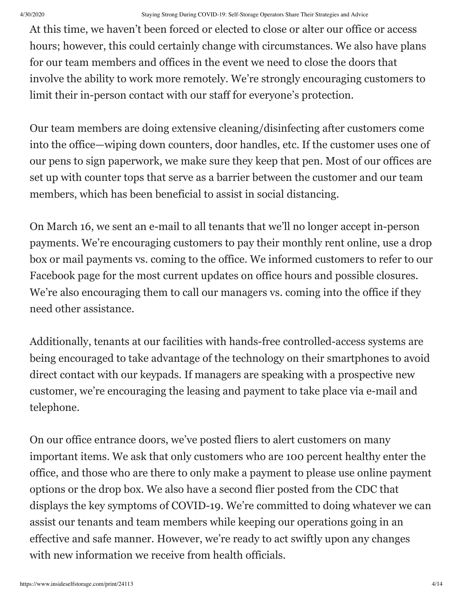At this time, we haven't been forced or elected to close or alter our office or access hours; however, this could certainly change with circumstances. We also have plans for our team members and offices in the event we need to close the doors that involve the ability to work more remotely. We're strongly encouraging customers to limit their in-person contact with our staff for everyone's protection.

Our team members are doing extensive cleaning/disinfecting after customers come into the office—wiping down counters, door handles, etc. If the customer uses one of our pens to sign paperwork, we make sure they keep that pen. Most of our offices are set up with counter tops that serve as a barrier between the customer and our team members, which has been beneficial to assist in social distancing.

On March 16, we sent an e-mail to all tenants that we'll no longer accept in-person payments. We're encouraging customers to pay their monthly rent online, use a drop box or mail payments vs. coming to the office. We informed customers to refer to our Facebook page for the most current updates on office hours and possible closures. We're also encouraging them to call our managers vs. coming into the office if they need other assistance.

Additionally, tenants at our facilities with hands-free controlled-access systems are being encouraged to take advantage of the technology on their smartphones to avoid direct contact with our keypads. If managers are speaking with a prospective new customer, we're encouraging the leasing and payment to take place via e-mail and telephone.

On our office entrance doors, we've posted fliers to alert customers on many important items. We ask that only customers who are 100 percent healthy enter the office, and those who are there to only make a payment to please use online payment options or the drop box. We also have a second flier posted from the CDC that displays the key symptoms of COVID-19. We're committed to doing whatever we can assist our tenants and team members while keeping our operations going in an effective and safe manner. However, we're ready to act swiftly upon any changes with new information we receive from health officials.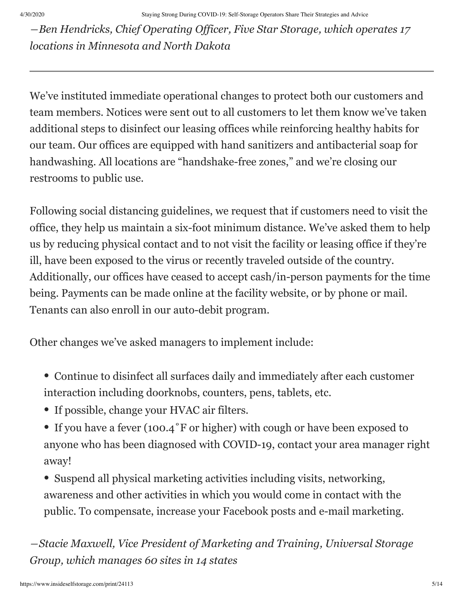*―Ben Hendricks, Chief Operating Officer, Five Star Storage, which operates 17 locations in Minnesota and North Dakota*

We've instituted immediate operational changes to protect both our customers and team members. Notices were sent out to all customers to let them know we've taken additional steps to disinfect our leasing offices while reinforcing healthy habits for our team. Our offices are equipped with hand sanitizers and antibacterial soap for handwashing. All locations are "handshake-free zones," and we're closing our restrooms to public use.

Following social distancing guidelines, we request that if customers need to visit the office, they help us maintain a six-foot minimum distance. We've asked them to help us by reducing physical contact and to not visit the facility or leasing office if they're ill, have been exposed to the virus or recently traveled outside of the country. Additionally, our offices have ceased to accept cash/in-person payments for the time being. Payments can be made online at the facility website, or by phone or mail. Tenants can also enroll in our auto-debit program.

Other changes we've asked managers to implement include:

- Continue to disinfect all surfaces daily and immediately after each customer interaction including doorknobs, counters, pens, tablets, etc.
- If possible, change your HVAC air filters.
- If you have a fever (100.4°F or higher) with cough or have been exposed to anyone who has been diagnosed with COVID-19, contact your area manager right away!
- Suspend all physical marketing activities including visits, networking, awareness and other activities in which you would come in contact with the public. To compensate, increase your Facebook posts and e-mail marketing.

*―Stacie Maxwell, Vice President of Marketing and Training, Universal Storage Group, which manages 60 sites in 14 states*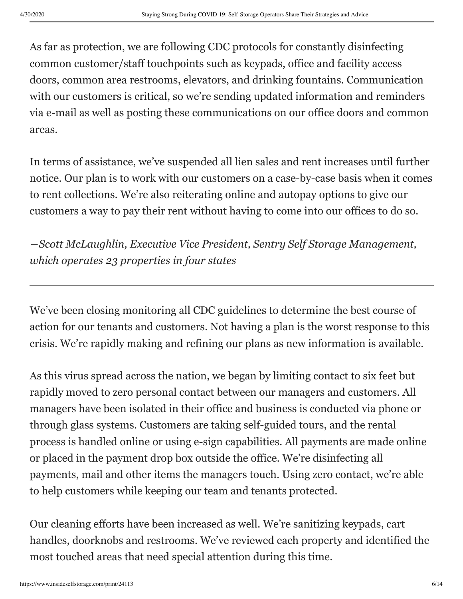As far as protection, we are following CDC protocols for constantly disinfecting common customer/staff touchpoints such as keypads, office and facility access doors, common area restrooms, elevators, and drinking fountains. Communication with our customers is critical, so we're sending updated information and reminders via e-mail as well as posting these communications on our office doors and common areas.

In terms of assistance, we've suspended all lien sales and rent increases until further notice. Our plan is to work with our customers on a case-by-case basis when it comes to rent collections. We're also reiterating online and autopay options to give our customers a way to pay their rent without having to come into our offices to do so.

*―Scott McLaughlin, Executive Vice President, Sentry Self Storage Management, which operates 23 properties in four states*

We've been closing monitoring all CDC guidelines to determine the best course of action for our tenants and customers. Not having a plan is the worst response to this crisis. We're rapidly making and refining our plans as new information is available.

As this virus spread across the nation, we began by limiting contact to six feet but rapidly moved to zero personal contact between our managers and customers. All managers have been isolated in their office and business is conducted via phone or through glass systems. Customers are taking self-guided tours, and the rental process is handled online or using e-sign capabilities. All payments are made online or placed in the payment drop box outside the office. We're disinfecting all payments, mail and other items the managers touch. Using zero contact, we're able to help customers while keeping our team and tenants protected.

Our cleaning efforts have been increased as well. We're sanitizing keypads, cart handles, doorknobs and restrooms. We've reviewed each property and identified the most touched areas that need special attention during this time.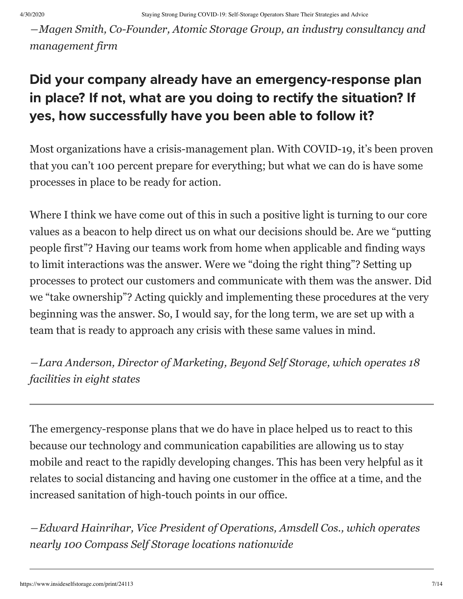*―Magen Smith, Co-Founder, Atomic Storage Group, an industry consultancy and management firm*

## Did your company already have an emergency-response plan in place? If not, what are you doing to rectify the situation? If yes, how successfully have you been able to follow it?

Most organizations have a crisis-management plan. With COVID-19, it's been proven that you can't 100 percent prepare for everything; but what we can do is have some processes in place to be ready for action.

Where I think we have come out of this in such a positive light is turning to our core values as a beacon to help direct us on what our decisions should be. Are we "putting people first"? Having our teams work from home when applicable and finding ways to limit interactions was the answer. Were we "doing the right thing"? Setting up processes to protect our customers and communicate with them was the answer. Did we "take ownership"? Acting quickly and implementing these procedures at the very beginning was the answer. So, I would say, for the long term, we are set up with a team that is ready to approach any crisis with these same values in mind.

*―Lara Anderson, Director of Marketing, Beyond Self Storage, which operates 18 facilities in eight states*

The emergency-response plans that we do have in place helped us to react to this because our technology and communication capabilities are allowing us to stay mobile and react to the rapidly developing changes. This has been very helpful as it relates to social distancing and having one customer in the office at a time, and the increased sanitation of high-touch points in our office.

*―Edward Hainrihar, Vice President of Operations, Amsdell Cos., which operates nearly 100 Compass Self Storage locations nationwide*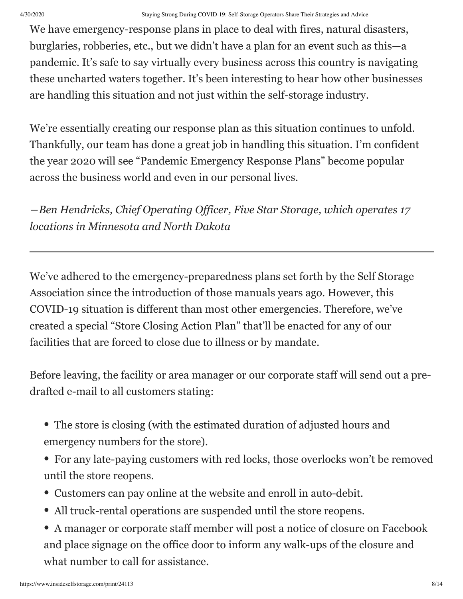We have emergency-response plans in place to deal with fires, natural disasters, burglaries, robberies, etc., but we didn't have a plan for an event such as this—a pandemic. It's safe to say virtually every business across this country is navigating these uncharted waters together. It's been interesting to hear how other businesses are handling this situation and not just within the self-storage industry.

We're essentially creating our response plan as this situation continues to unfold. Thankfully, our team has done a great job in handling this situation. I'm confident the year 2020 will see "Pandemic Emergency Response Plans" become popular across the business world and even in our personal lives.

*―Ben Hendricks, Chief Operating Officer, Five Star Storage, which operates 17 locations in Minnesota and North Dakota*

We've adhered to the emergency-preparedness plans set forth by the Self Storage Association since the introduction of those manuals years ago. However, this COVID-19 situation is different than most other emergencies. Therefore, we've created a special "Store Closing Action Plan" that'll be enacted for any of our facilities that are forced to close due to illness or by mandate.

Before leaving, the facility or area manager or our corporate staff will send out a predrafted e-mail to all customers stating:

- The store is closing (with the estimated duration of adjusted hours and emergency numbers for the store).
- For any late-paying customers with red locks, those overlocks won't be removed until the store reopens.
- Customers can pay online at the website and enroll in auto-debit.
- All truck-rental operations are suspended until the store reopens.
- A manager or corporate staff member will post a notice of closure on Facebook and place signage on the office door to inform any walk-ups of the closure and what number to call for assistance.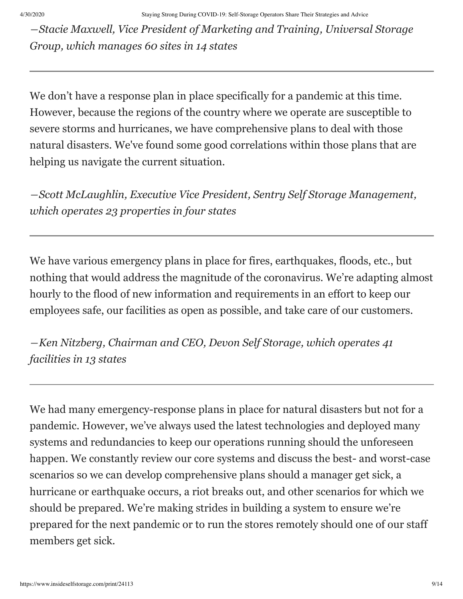*―Stacie Maxwell, Vice President of Marketing and Training, Universal Storage Group, which manages 60 sites in 14 states*

We don't have a response plan in place specifically for a pandemic at this time. However, because the regions of the country where we operate are susceptible to severe storms and hurricanes, we have comprehensive plans to deal with those natural disasters. We've found some good correlations within those plans that are helping us navigate the current situation.

*―Scott McLaughlin, Executive Vice President, Sentry Self Storage Management, which operates 23 properties in four states*

We have various emergency plans in place for fires, earthquakes, floods, etc., but nothing that would address the magnitude of the coronavirus. We're adapting almost hourly to the flood of new information and requirements in an effort to keep our employees safe, our facilities as open as possible, and take care of our customers.

*―Ken Nitzberg, Chairman and CEO, Devon Self Storage, which operates 41 facilities in 13 states*

We had many emergency-response plans in place for natural disasters but not for a pandemic. However, we've always used the latest technologies and deployed many systems and redundancies to keep our operations running should the unforeseen happen. We constantly review our core systems and discuss the best- and worst-case scenarios so we can develop comprehensive plans should a manager get sick, a hurricane or earthquake occurs, a riot breaks out, and other scenarios for which we should be prepared. We're making strides in building a system to ensure we're prepared for the next pandemic or to run the stores remotely should one of our staff members get sick.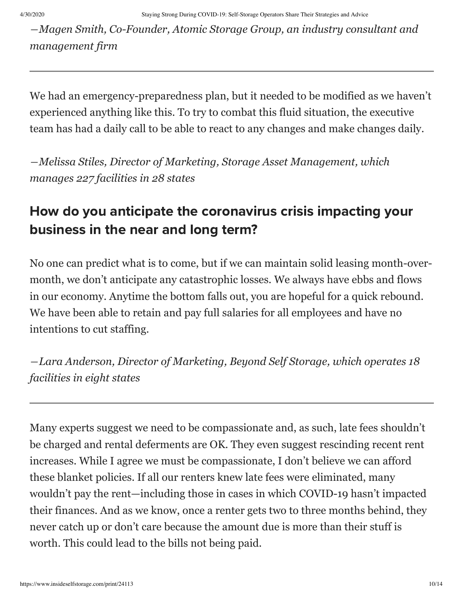*―Magen Smith, Co-Founder, Atomic Storage Group, an industry consultant and management firm*

We had an emergency-preparedness plan, but it needed to be modified as we haven't experienced anything like this. To try to combat this fluid situation, the executive team has had a daily call to be able to react to any changes and make changes daily.

*―Melissa Stiles, Director of Marketing, Storage Asset Management, which manages 227 facilities in 28 states*

## How do you anticipate the coronavirus crisis impacting your business in the near and long term?

No one can predict what is to come, but if we can maintain solid leasing month-overmonth, we don't anticipate any catastrophic losses. We always have ebbs and flows in our economy. Anytime the bottom falls out, you are hopeful for a quick rebound. We have been able to retain and pay full salaries for all employees and have no intentions to cut staffing.

*―Lara Anderson, Director of Marketing, Beyond Self Storage, which operates 18 facilities in eight states*

Many experts suggest we need to be compassionate and, as such, late fees shouldn't be charged and rental deferments are OK. They even suggest rescinding recent rent increases. While I agree we must be compassionate, I don't believe we can afford these blanket policies. If all our renters knew late fees were eliminated, many wouldn't pay the rent—including those in cases in which COVID-19 hasn't impacted their finances. And as we know, once a renter gets two to three months behind, they never catch up or don't care because the amount due is more than their stuff is worth. This could lead to the bills not being paid.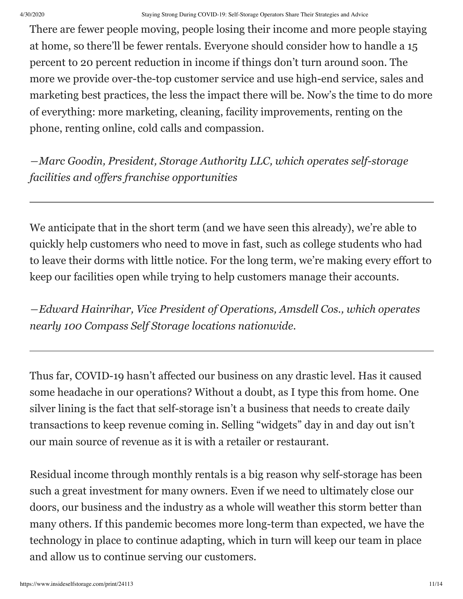There are fewer people moving, people losing their income and more people staying at home, so there'll be fewer rentals. Everyone should consider how to handle a 15 percent to 20 percent reduction in income if things don't turn around soon. The more we provide over-the-top customer service and use high-end service, sales and marketing best practices, the less the impact there will be. Now's the time to do more of everything: more marketing, cleaning, facility improvements, renting on the phone, renting online, cold calls and compassion.

*―Marc Goodin, President, Storage Authority LLC, which operates self-storage facilities and offers franchise opportunities*

We anticipate that in the short term (and we have seen this already), we're able to quickly help customers who need to move in fast, such as college students who had to leave their dorms with little notice. For the long term, we're making every effort to keep our facilities open while trying to help customers manage their accounts.

*―Edward Hainrihar, Vice President of Operations, Amsdell Cos., which operates nearly 100 Compass Self Storage locations nationwide.*

Thus far, COVID-19 hasn't affected our business on any drastic level. Has it caused some headache in our operations? Without a doubt, as I type this from home. One silver lining is the fact that self-storage isn't a business that needs to create daily transactions to keep revenue coming in. Selling "widgets" day in and day out isn't our main source of revenue as it is with a retailer or restaurant.

Residual income through monthly rentals is a big reason why self-storage has been such a great investment for many owners. Even if we need to ultimately close our doors, our business and the industry as a whole will weather this storm better than many others. If this pandemic becomes more long-term than expected, we have the technology in place to continue adapting, which in turn will keep our team in place and allow us to continue serving our customers.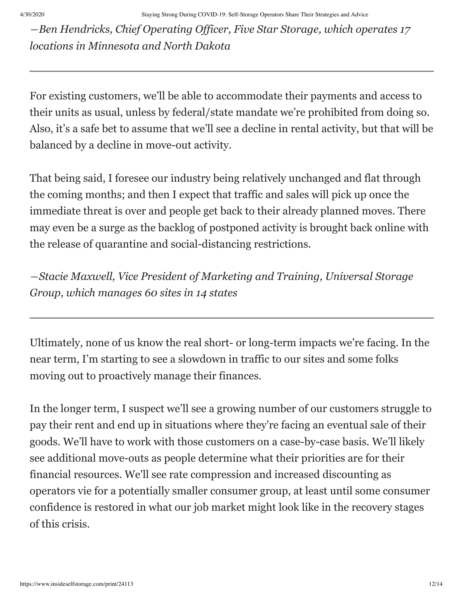*―Ben Hendricks, Chief Operating Officer, Five Star Storage, which operates 17 locations in Minnesota and North Dakota*

For existing customers, we'll be able to accommodate their payments and access to their units as usual, unless by federal/state mandate we're prohibited from doing so. Also, it's a safe bet to assume that we'll see a decline in rental activity, but that will be balanced by a decline in move-out activity.

That being said, I foresee our industry being relatively unchanged and flat through the coming months; and then I expect that traffic and sales will pick up once the immediate threat is over and people get back to their already planned moves. There may even be a surge as the backlog of postponed activity is brought back online with the release of quarantine and social-distancing restrictions.

*―Stacie Maxwell, Vice President of Marketing and Training, Universal Storage Group, which manages 60 sites in 14 states*

Ultimately, none of us know the real short- or long-term impacts we're facing. In the near term, I'm starting to see a slowdown in traffic to our sites and some folks moving out to proactively manage their finances.

In the longer term, I suspect we'll see a growing number of our customers struggle to pay their rent and end up in situations where they're facing an eventual sale of their goods. We'll have to work with those customers on a case-by-case basis. We'll likely see additional move-outs as people determine what their priorities are for their financial resources. We'll see rate compression and increased discounting as operators vie for a potentially smaller consumer group, at least until some consumer confidence is restored in what our job market might look like in the recovery stages of this crisis.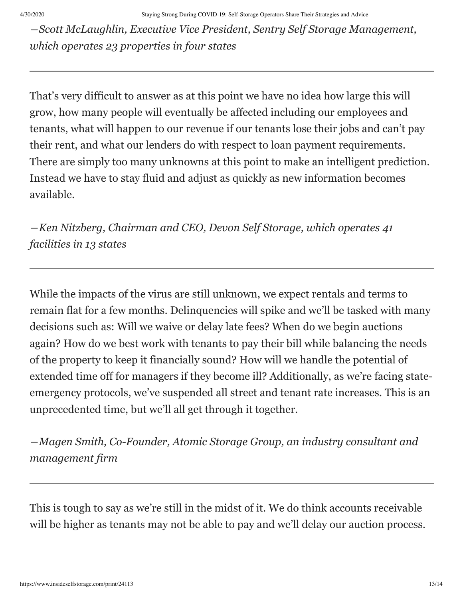*―Scott McLaughlin, Executive Vice President, Sentry Self Storage Management, which operates 23 properties in four states*

That's very difficult to answer as at this point we have no idea how large this will grow, how many people will eventually be affected including our employees and tenants, what will happen to our revenue if our tenants lose their jobs and can't pay their rent, and what our lenders do with respect to loan payment requirements. There are simply too many unknowns at this point to make an intelligent prediction. Instead we have to stay fluid and adjust as quickly as new information becomes available.

*―Ken Nitzberg, Chairman and CEO, Devon Self Storage, which operates 41 facilities in 13 states*

While the impacts of the virus are still unknown, we expect rentals and terms to remain flat for a few months. Delinquencies will spike and we'll be tasked with many decisions such as: Will we waive or delay late fees? When do we begin auctions again? How do we best work with tenants to pay their bill while balancing the needs of the property to keep it financially sound? How will we handle the potential of extended time off for managers if they become ill? Additionally, as we're facing stateemergency protocols, we've suspended all street and tenant rate increases. This is an unprecedented time, but we'll all get through it together.

*―Magen Smith, Co-Founder, Atomic Storage Group, an industry consultant and management firm*

This is tough to say as we're still in the midst of it. We do think accounts receivable will be higher as tenants may not be able to pay and we'll delay our auction process.